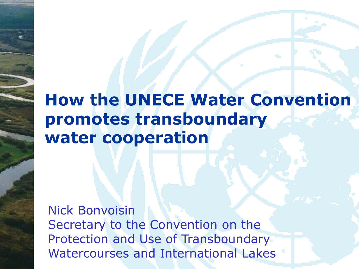#### **How the UNECE Water Convention promotes transboundary water cooperation**

Nick Bonvoisin Secretary to the Convention on the Protection and Use of Transboundary Watercourses and International Lakes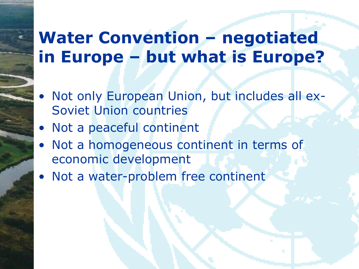#### **Water Convention – negotiated in Europe – but what is Europe?**

- Not only European Union, but includes all ex-Soviet Union countries
- Not a peaceful continent
- Not a homogeneous continent in terms of economic development
- Not a water-problem free continent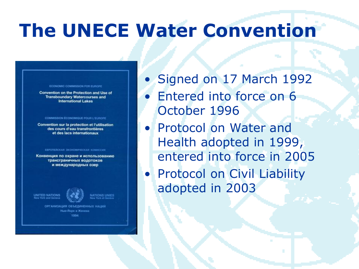# **The UNECE Water Convention**

#### ECONOMIC COMMISSION FOR EUROPE

**Convention on the Protection and Use of Transboundary Watercourses and International Lakes** 

#### COMMISSION ECONOMIQUE POUR L'EUROPE

Convention sur la protection et l'utilisation des cours d'eau transfrontières et des lacs internationaux

#### ЕВРОПЕЙСКАЯ ЭКОНОМИЧЕСКАЯ КОМИССИЯ

Конвенция по охране и использованию трансграничных водотоков и международных озер





ОРГАНИЗАЦИЯ ОБЪЕДИНЕННЫХ НАЦИЙ Нью-Йорк и Женева

1994

• Signed on 17 March 1992

- Entered into force on 6 October 1996
- Protocol on Water and Health adopted in 1999, entered into force in 2005 • Protocol on Civil Liability adopted in 2003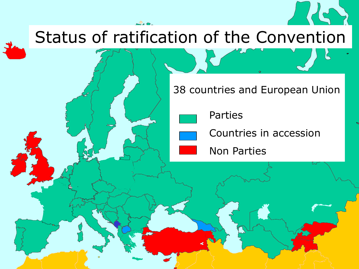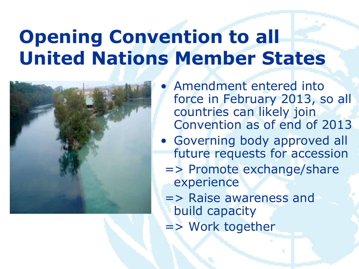# **Opening Convention to all United Nations Member States**



- Amendment entered into force in February 2013, so all countries can likely join Convention as of end of 2013
- Governing body approved all future requests for accession
	- => Promote exchange/share experience
	- => Raise awareness and build capacity
	- => Work together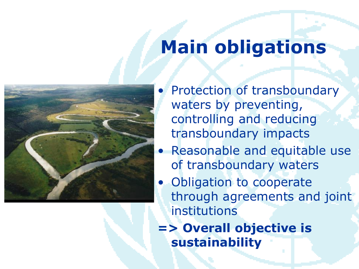# **Main obligations**



• Protection of transboundary waters by preventing, controlling and reducing transboundary impacts

- Reasonable and equitable use of transboundary waters
- Obligation to cooperate through agreements and joint institutions

**=> Overall objective is sustainability**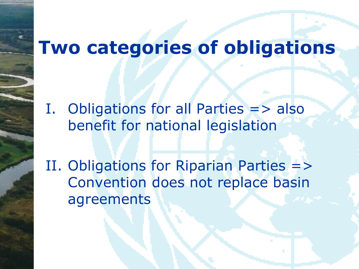### **Two categories of obligations**

I. Obligations for all Parties => also benefit for national legislation

II. Obligations for Riparian Parties => Convention does not replace basin agreements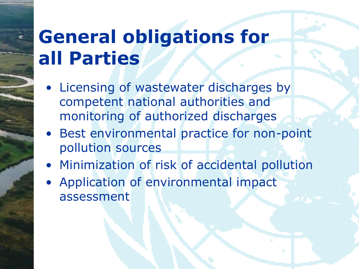# **General obligations for all Parties**

- Licensing of wastewater discharges by competent national authorities and monitoring of authorized discharges
- Best environmental practice for non-point pollution sources
- Minimization of risk of accidental pollution
- Application of environmental impact assessment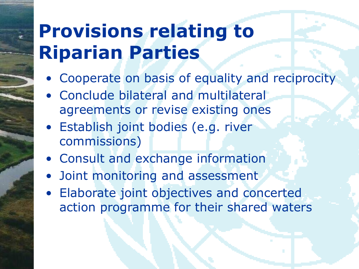# **Provisions relating to Riparian Parties**

- Cooperate on basis of equality and reciprocity
- Conclude bilateral and multilateral agreements or revise existing ones
- Establish joint bodies (e.g. river commissions)
- Consult and exchange information
- Joint monitoring and assessment
- Elaborate joint objectives and concerted action programme for their shared waters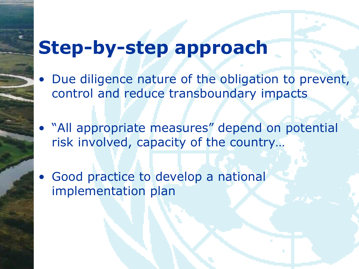### **Step-by-step approach**

- Due diligence nature of the obligation to prevent, control and reduce transboundary impacts
- "All appropriate measures" depend on potential risk involved, capacity of the country…
- Good practice to develop a national implementation plan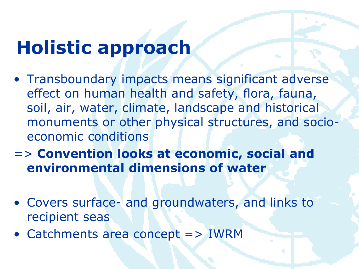# **Holistic approach**

- Transboundary impacts means significant adverse effect on human health and safety, flora, fauna, soil, air, water, climate, landscape and historical monuments or other physical structures, and socioeconomic conditions
- => **Convention looks at economic, social and environmental dimensions of water**
- Covers surface- and groundwaters, and links to recipient seas
- Catchments area concept => IWRM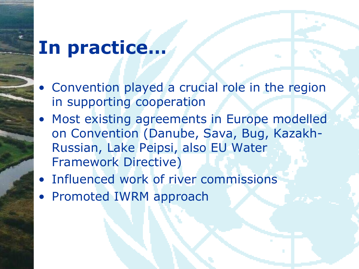### **In practice…**

- Convention played a crucial role in the region in supporting cooperation
- Most existing agreements in Europe modelled on Convention (Danube, Sava, Bug, Kazakh-Russian, Lake Peipsi, also EU Water Framework Directive)
- Influenced work of river commissions
- Promoted IWRM approach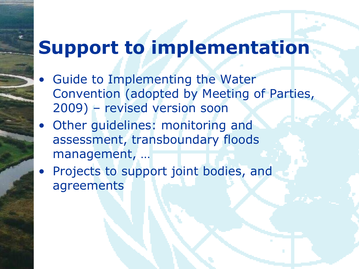# **Support to implementation**

- Guide to Implementing the Water Convention (adopted by Meeting of Parties, 2009) – revised version soon
- Other guidelines: monitoring and assessment, transboundary floods management, …
- Projects to support joint bodies, and agreements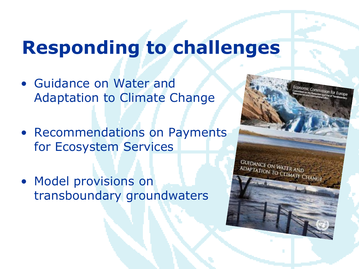# **Responding to challenges**

- Guidance on Water and Adaptation to Climate Change
- Recommendations on Payments for Ecosystem Services
- Model provisions on transboundary groundwaters

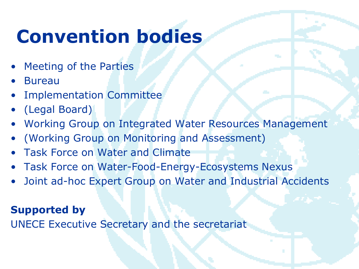# **Convention bodies**

- Meeting of the Parties
- **Bureau**
- **Implementation Committee**
- (Legal Board)
- Working Group on Integrated Water Resources Management
- (Working Group on Monitoring and Assessment)
- Task Force on Water and Climate
- Task Force on Water-Food-Energy-Ecosystems Nexus
- Joint ad-hoc Expert Group on Water and Industrial Accidents

#### **Supported by**

UNECE Executive Secretary and the secretariat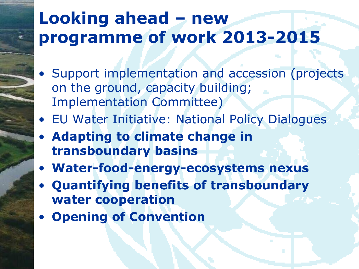### **Looking ahead – new programme of work 2013-2015**

- Support implementation and accession (projects on the ground, capacity building; Implementation Committee)
- EU Water Initiative: National Policy Dialogues
- **Adapting to climate change in transboundary basins**
- **Water-food-energy-ecosystems nexus**
- **Quantifying benefits of transboundary water cooperation**
- **Opening of Convention**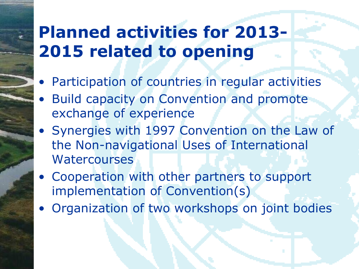#### **Planned activities for 2013- 2015 related to opening**

- Participation of countries in regular activities
- Build capacity on Convention and promote exchange of experience
- Synergies with 1997 Convention on the Law of the Non-navigational Uses of International **Watercourses**
- Cooperation with other partners to support implementation of Convention(s)
- Organization of two workshops on joint bodies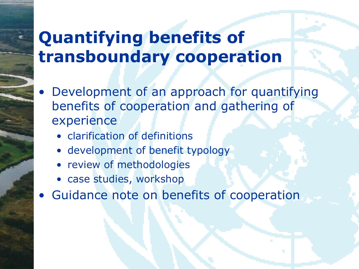#### **Quantifying benefits of transboundary cooperation**

- Development of an approach for quantifying benefits of cooperation and gathering of experience
	- clarification of definitions
	- development of benefit typology
	- review of methodologies
	- case studies, workshop
- Guidance note on benefits of cooperation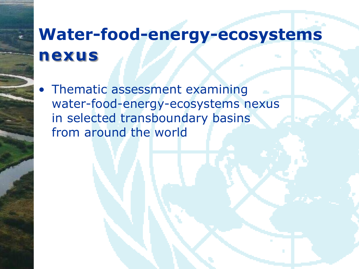### **Water-food-energy-ecosystems nexus**

• Thematic assessment examining water-food-energy-ecosystems nexus in selected transboundary basins from around the world